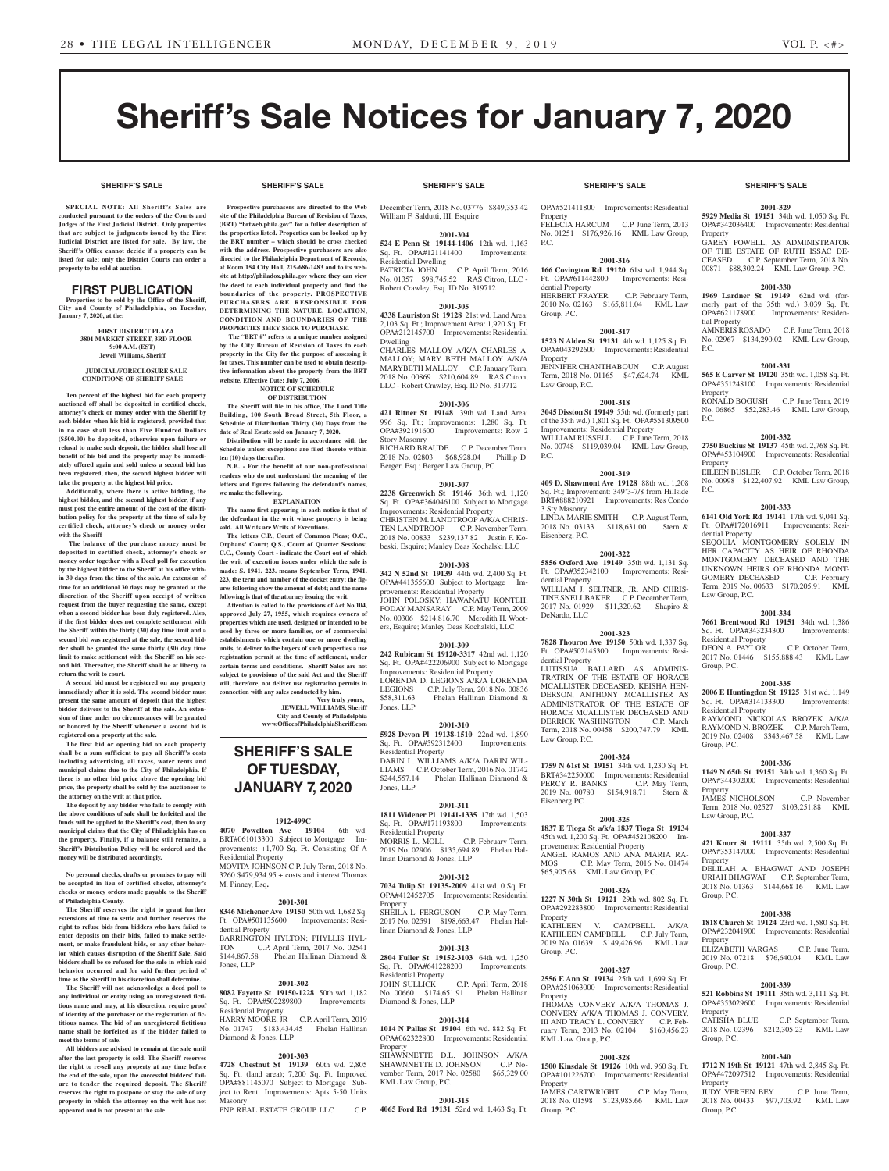**SHERIFF'S SALE SHERIFF'S SALE SHERIFF'S SALE SHERIFF'S SALE SHERIFF'S SALE**

# Sheriff's Sale Notices for January 7, 2020

**SPECIAL NOTE: All Sheriff 's Sales are conducted pursuant to the orders of the Courts and Judges of the First Judicial District. Only properties that are subject to judgments issued by the First Judicial District are listed for sale. By law, the Sheriff's Office cannot decide if a property can be listed for sale; only the District Courts can order a property to be sold at auction.** 

### FIRST PUBLICATION

**Properties to be sold by the Office of the Sheriff, City and County of Philadelphia, on Tuesday, January 7, 2020, at the:** 

> **FIRST DISTRICT PLAZA 3801 MARKET STREET, 3RD FLOOR 9:00 A.M. (EST) Jewell Williams, Sheriff**

#### **JUDICIAL/FORECLOSURE SALE CONDITIONS OF SHERIFF SALE**

**Ten percent of the highest bid for each property auctioned off shall be deposited in certified check, attorney's check or money order with the Sheriff by each bidder when his bid is registered, provided that in no case shall less than Five Hundred Dollars (\$500.00) be deposited, otherwise upon failure or refusal to make such deposit, the bidder shall lose all benefit of his bid and the property may be immediately offered again and sold unless a second bid has been registered, then, the second highest bidder will take the property at the highest bid price.**

**Additionally, where there is active bidding, the highest bidder, and the second highest bidder, if any must post the entire amount of the cost of the distribution policy for the property at the time of sale by certified check, attorney's check or money order with the Sheriff**

 **The balance of the purchase money must be deposited in certified check, attorney's check or money order together with a Deed poll for execution by the highest bidder to the Sheriff at his office within 30 days from the time of the sale. An extension of time for an additional 30 days may be granted at the discretion of the Sheriff upon receipt of written request from the buyer requesting the same, except when a second bidder has been duly registered. Also, if the first bidder does not complete settlement with the Sheriff within the thirty (30) day time limit and a second bid was registered at the sale, the second bidder shall be granted the same thirty (30) day time limit to make settlement with the Sheriff on his second bid. Thereafter, the Sheriff shall be at liberty to return the writ to court.**

**A second bid must be registered on any property immediately after it is sold. The second bidder must present the same amount of deposit that the highest bidder delivers to the Sheriff at the sale. An extension of time under no circumstances will be granted or honored by the Sheriff whenever a second bid is registered on a property at the sale.** 

**The first bid or opening bid on each property shall be a sum sufficient to pay all Sheriff's costs including advertising, all taxes, water rents and municipal claims due to the City of Philadelphia. If there is no other bid price above the opening bid price, the property shall be sold by the auctioneer to the attorney on the writ at that price.**

**The deposit by any bidder who fails to comply with the above conditions of sale shall be forfeited and the funds will be applied to the Sheriff's cost, then to any municipal claims that the City of Philadelphia has on the property. Finally, if a balance still remains, a Sheriff's Distribution Policy will be ordered and the money will be distributed accordingly.**

**No personal checks, drafts or promises to pay will be accepted in lieu of certified checks, attorney's checks or money orders made payable to the Sheriff of Philadelphia County.**

**The Sheriff reserves the right to grant further extensions of time to settle and further reserves the right to refuse bids from bidders who have failed to enter deposits on their bids, failed to make settlement, or make fraudulent bids, or any other behavior which causes disruption of the Sheriff Sale. Said bidders shall be so refused for the sale in which said behavior occurred and for said further period of time as the Sheriff in his discretion shall determine.**

**The Sheriff will not acknowledge a deed poll to any individual or entity using an unregistered fictitious name and may, at his discretion, require proof of identity of the purchaser or the registration of fictitious names. The bid of an unregistered fictitious name shall be forfeited as if the bidder failed to meet the terms of sale.**

**All bidders are advised to remain at the sale until after the last property is sold. The Sheriff reserves the right to re-sell any property at any time before the end of the sale, upon the successful bidders' failure to tender the required deposit. The Sheriff reserves the right to postpone or stay the sale of any property in which the attorney on the writ has not appeared and is not present at the sale**

**Prospective purchasers are directed to the Web site of the Philadelphia Bureau of Revision of Taxes, (BRT) "brtweb.phila.gov" for a fuller description of the properties listed. Properties can be looked up by the BRT number – which should be cross checked with the address. Prospective purchasers are also directed to the Philadelphia Department of Records, at Room 154 City Hall, 215-686-1483 and to its website at http://philadox.phila.gov where they can view the deed to each individual property and find the boundaries of the property. PROSPECTIVE PURCHASERS ARE RESPONSIBLE FOR DETERMINING THE NATURE, LOCATION, CONDITION AND BOUNDARIES OF THE** 

**PROPERTIES THEY SEEK TO PURCHASE. The "BRT #" refers to a unique number assigned by the City Bureau of Revision of Taxes to each property in the City for the purpose of assessing it for taxes. This number can be used to obtain descriptive information about the property from the BRT website. Effective Date: July 7, 2006.**

**NOTICE OF SCHEDULE OF DISTRIBUTION**

**The Sheriff will file in his office, The Land Title Building, 100 South Broad Street, 5th Floor, a Schedule of Distribution Thirty (30) Days from the date of Real Estate sold on January 7, 2020.**

**Distribution will be made in accordance with the Schedule unless exceptions are filed thereto within ten (10) days thereafter.**

**N.B. - For the benefit of our non-professional readers who do not understand the meaning of the letters and figures following the defendant's names, we make the following. EXPLANATION**

**The name first appearing in each notice is that of** 

**the defendant in the writ whose property is being sold. All Writs are Writs of Executions. The letters C.P., Court of Common Pleas; O.C.,** 

**Orphans' Court; Q.S., Court of Quarter Sessions; C.C., County Court - indicate the Court out of which the writ of execution issues under which the sale is made: S. 1941. 223. means September Term, 1941. 223, the term and number of the docket entry; the figures following show the amount of debt; and the name following is that of the attorney issuing the writ.**

**Attention is called to the provisions of Act No.104, approved July 27, 1955, which requires owners of properties which are used, designed or intended to be used by three or more families, or of commercial establishments which contain one or more dwelling units, to deliver to the buyers of such properties a use registration permit at the time of settlement, under certain terms and conditions. Sheriff Sales are not subject to provisions of the said Act and the Sheriff will, therefore, not deliver use registration permits in connection with any sales conducted by him.**

**Very truly yours, JEWELL WILLIAMS, Sheriff City and County of Philadelphia www.OfficeofPhiladelphiaSheriff.com**

## **SHERIFF'S SALE OF TUESDAY, JANUARY 7, 2020**

#### **1912-499C**

**4070 Powelton Ave 19104** 6th wd. BRT#061013300 Subject to MortgageImprovements: +1,700 Sq. Ft. Consisting Of A Residential Property MOVITA JOHNSON C.P. July Term, 2018 No. 3260 \$479,934.95 + costs and interest Thomas M. Pinney, Esq**.**

#### **2001-301**

**8346 Michener Ave 19150** 50th wd. 1,682 Sq. Ft. OPA#501135600 dential Property BARRINGTON HYLTON; PHYLLIS HYL-<br>TON C.P. April Term. 2017 No. 02541 TON C.P. April Term, 2017 No. 02541<br>\$144,867.58 Phelan Hallinan Diamond & Phelan Hallinan Diamond & Jones, LLP

#### **2001-302**

**8082 Fayette St 19150-1228** 50th wd. 1,182 Sq. Ft. OPA#502289800 Residential Property HARRY MOORE, JR C.P. April Term, 2019 No. 01747 \$183,434.45 Phelan Hallinan Diamond & Jones, LLP

#### **2001-303**

**4728 Chestnut St 19139** 60th wd. 2,805 Sq. Ft. (land area); 7,200 Sq. Ft. Improved OPA#881145070 Subject to Mortgage Subject to Rent Improvements: Apts 5-50 Units Masonry PNP REAL ESTATE GROUP LLC C.P.

December Term, 2018 No. 03776 \$849,353.42 William F. Saldutti, III, Esquire

**2001-304 524 E Penn St 19144-1406** 12th wd. 1,163 Sq. Ft. OPA#121141400 Residential Dwelling<br>PATRICIA JOHN

C.P. April Term, 2016 No. 01357 \$98,745.52 RAS Citron, LLC - Robert Crawley, Esq. ID No. 319712

#### **2001-305**

**4338 Lauriston St 19128** 21st wd. Land Area: 2,103 Sq. Ft.; Improvement Area: 1,920 Sq. Ft. OPA#212145700 Improvements: Residential Dwelling CHARLES MALLOY A/K/A CHARLES A. MALLOY; MARY BETH MALLOY A/K/A MARYBETH MALLOY C.P. January Term, 2018 No. 00869 \$210,604.89 RAS Citron, LLC - Robert Crawley, Esq. ID No. 319712

#### **2001-306**

**421 Ritner St 19148** 39th wd. Land Area: 996 Sq. Ft.; Improvements: 1,280 Sq. Ft. Improvements: Row 2 Story Masonry RICHARD BRAUDE C.P. December Term,

2018 No. 02803 \$68,928.04 Phillip D. Berger, Esq.; Berger Law Group, PC

#### **2001-307**

**2238 Greenwich St 19146** 36th wd. 1,120 Sq. Ft. OPA#364046100 Subject to Mortgage Improvements: Residential Property CHRISTEN M. LANDTROOP A/K/A CHRIS-TEN LANDTROOP C.P. November Term, 2018 No. 00833 \$239,137.82 Justin F. Kobeski, Esquire; Manley Deas Kochalski LLC

#### **2001-308**

**342 N 52nd St 19139** 44th wd. 2,400 Sq. Ft. OPA#441355600 Subject to Mortgage Improvements: Residential Property JOHN POLOSKY; HAWANATU KONTEH;

FODAY MANSARAY C.P. May Term, 2009 No. 00306 \$214,816.70 Meredith H. Wooters, Esquire; Manley Deas Kochalski, LLC

#### **2001-309**

**242 Rubicam St 19120-3317** 42nd wd. 1,120 Sq. Ft. OPA#422206900 Subject to Mortgage Improvements: Residential Property LORENDA D. LEGIONS A/K/A LORENDA<br>LEGIONS C.P. July Term, 2018 No. 00836 LEGIONS C.P. July Term, 2018 No. 00836<br>\$58.311.63 Phelan Hallinan Diamond & Phelan Hallinan Diamond & Jones, LLP

#### **2001-310**

**5928 Devon Pl 19138-1510** 22nd wd. 1,890 Sq. Ft. OPA#592312400 Improvements: Residential Property DARIN L. WILLIAMS A/K/A DARIN WIL-LIAMS C.P. October Term, 2016 No. 01742 \$244,557.14 Phelan Hallinan Diamond & Jones, LLP

#### **2001-311 1811 Widener Pl 19141-1335** 17th wd. 1,503 Sq. Ft. OPA#171193800 Improvements: Residential Property MORRIS L. MOLL C.P. February Term, 2019 No. 02906 \$135,694.89 Phelan Hal-

linan Diamond & Jones, LLP **2001-312 7034 Tulip St 19135-2009** 41st wd. 0 Sq. Ft. OPA#412452705 Improvements: Residential Property

SHEILA L. FERGUSON C.P. May Term 2017 No. 02591 \$198,663.47 Phelan Hallinan Diamond & Jones, LLP

**2001-313 2804 Fuller St 19152-3103** 64th wd. 1,250 Sq. Ft. OPA#641228200 Improvements: Residential Property JOHN SULLICK C.P. April Term, 2018 No. 00660 \$174,651.91 Phelan Hallinan Diamond & Jones, LLP

#### **2001-314**

**1014 N Pallas St 19104** 6th wd. 882 Sq. Ft. OPA#062322800 Improvements: Residential Property SHAWNNETTE D.L. JOHNSON A/K/A

SHAWNNETTE D. JOHNSON C.P. November Term, 2017 No. 02580 \$65,329.00 KML Law Group, P.C.

#### **2001-315**

**4065 Ford Rd 19131** 52nd wd. 1,463 Sq. Ft.

#### **SHERIFF'S SALE SHERIFF'S SALE SHERIFF'S SALE SHERIFF'S SALE SHERIFF'S SALE**

OPA#521411800 Improvements: Residential **Property** FELECIA HARCUM C.P. June Term, 2013 No. 01251 \$176,926.16 KML Law Group, P.C.

#### **2001-316**

**166 Covington Rd 19120** 61st wd. 1,944 Sq. Ft. OPA#611442800 Improvements: Residential Property<br>HERBERT FRAYER C.P. February Term, 2010 No. 02163 \$165,811.04 KML Law Group, P.C.

## **2001-317**

**1523 N Alden St 19131** 4th wd. 1,125 Sq. Ft. OPA#043292600 Improvements: Residential Property

JENNIFER CHANTHABOUN C.P. August Term, 2018 No. 01165 \$47,624.74 KML Law Group, P.C.

### **2001-318**

**3045 Disston St 19149** 55th wd. (formerly part of the 35th wd.) 1,801 Sq. Ft. OPA#551309500 Improvements: Residential Property WILLIAM RUSSELL C.P. June Term, 2018 No. 00748 \$119,039.04 KML Law Group, P.C.

#### **2001-319**

**409 D. Shawmont Ave 19128** 88th wd. 1,208 Sq. Ft.; Improvement: 349'3-7/8 from Hillside BRT#888210921 Improvements: Res Condo 3 Sty Masonry LINDA MARIE SMITH C.P. August Term,<br>2018 No. 03133 \$118,631.00 Stern & 2018 No. 03133 \$118,631.00 Eisenberg, P.C.

### **2001-322**

**5856 Oxford Ave 19149** 35th wd. 1,131 Sq. Ft. OPA#352342100 Improvements: Residential Property WILLIAM J. SELTNER, JR. AND CHRIS-TINE SNELLBAKER C.P. December Term, 2017 No. 01929 \$11,320.62 Shapiro & DeNardo, LLC

#### **2001-323**

**7828 Thouron Ave 19150** 50th wd. 1,337 Sq. Ft. OPA#502145300 Improvements: Residential Property LUTISSUA BALLARD AS ADMINIS-TRATRIX OF THE ESTATE OF HORACE MCALLISTER DECEASED, KEISHA HEN-DERSON, ANTHONY MCALLISTER AS ADMINISTRATOR OF THE ESTATE OF HORACE MCALLISTER DECEASED AND DERRICK WASHINGTON C.P. March DERRICK WASHINGTON Term, 2018 No. 00458 \$200,747.79 KML Law Group, P.C.

#### **2001-324**

**1759 N 61st St 19151** 34th wd. 1,230 Sq. Ft. BRT#342250000 Improvements: Residential<br>PERCY R. BANKS C.P. May Term, PERCY R. BANKS 2019 No. 00780 \$154,918.71 Stern & Eisenberg PC

#### **2001-325**

**1837 E Tioga St a/k/a 1837 Tioga St 19134**  45th wd. 1,200 Sq. Ft. OPA#452108200 Improvements: Residential Property ANGEL RAMOS AND ANA MARIA RA-MOS C.P. May Term, 2016 No. 01474 \$65,905.68 KML Law Group, P.C.

#### **2001-326**

**1227 N 30th St 19121** 29th wd. 802 Sq. Ft. OPA#292283800 Improvements: Residential Property KATHLEEN V. CAMPBELL A/K/A

### KATHLEEN CAMPBELL C.P. July Term,<br>2019 No. 01639 \$149,426.96 KML Law 2019 No. 01639 Group, P.C.

#### **2001-327**

**2556 E Ann St 19134** 25th wd. 1,699 Sq. Ft. OPA#251063000 Improvements: Residential

Property THOMAS CONVERY A/K/A THOMAS J. CONVERY A/K/A THOMAS J. CONVERY, III AND TRACY L. CONVERY C.P. February Term, 2013 No. 02104 \$160,456.23 KML Law Group, P.C.

#### **2001-328**

**1500 Kinsdale St 19126** 10th wd. 960 Sq. Ft. OPA#101226700 Improvements: Residential Property JAMES CARTWRIGHT C.P. May Term,

2018 No. 01598 \$123,985.66 KML Law Group, P.C.

### **2001-329**

**5929 Media St 19151** 34th wd. 1,050 Sq. Ft. OPA#342036400 Improvements: Residential Property

#### GAREY POWELL, AS ADMINISTRATOR OF THE ESTATE OF RUTH ISSAC DE-CEASED C.P. September Term, 2018 No. 00871 \$88,302.24 KML Law Group, P.C.

**2001-330 1969 Lardner St 19149** 62nd wd. (formerly part of the 35th wd.) 3,039 Sq. Ft. OPA#621178900 Improvements: Residen-

AMNERIS ROSADO C.P. June Term, 2018 No. 02967 \$134,290.02 KML Law Group,

**2001-331 565 E Carver St 19120** 35th wd. 1,058 Sq. Ft. OPA#351248100 Improvements: Residential

No. 06865 \$52,283.46 KML Law Group,

**2001-332 2750 Buckius St 19137** 45th wd. 2,768 Sq. Ft. OPA#453104900 Improvements: Residential

EILEEN BUSLER C.P. October Term, 2018 No. 00998 \$122,407.92 KML Law Group,

**2001-333 6141 Old York Rd 19141** 17th wd. 9,041 Sq. Ft. OPA#172016911 Improvements: Resi-

SEQOUIA MONTGOMERY SOLELY IN HER CAPACITY AS HEIR OF RHONDA MONTGOMERY DECEASED AND THE UNKNOWN HEIRS OF RHONDA MONT-GOMERY DECEASED C.P. February Term, 2019 No. 00633 \$170,205.91 KML

**2001-334 7661 Brentwood Rd 19151** 34th wd. 1,386<br>Sq. Ft. OPA#343234300 Improvements:

DEON A. PAYLOR C.P. October Term,<br>2017 No. 01446 \$155,888.43 KML Law 2017 No. 01446 \$155,888.43

**2001-335 2006 E Huntingdon St 19125** 31st wd. 1,149<br>Sq. Ft. OPA#314133300 Improvements:

RAYMOND NICKOLAS BROZEK A/K/A RAYMOND N. BROZEK C.P. March Term, 2019 No. 02408 \$343,467.58 KML Law

**2001-336 1149 N 65th St 19151** 34th wd. 1,360 Sq. Ft. OPA#344302000 Improvements: Residential

JAMES NICHOLSON C.P. November Term, 2018 No. 02527 \$103,251.88 KML

**2001-337 421 Knorr St 19111** 35th wd. 2,500 Sq. Ft. OPA#353147000 Improvements: Residential

DELILAH A. BHAGWAT AND JOSEPH URIAH BHAGWAT C.P. September Term, 2018 No. 01363 \$144,668.16 KML Law

**2001-338 1818 Church St 19124** 23rd wd. 1,580 Sq. Ft. OPA#232041900 Improvements: Residential

ELIZABETH VARGAS C.P. June Term, 2019 No. 07218 \$76,640.04 KML Law

**2001-339 521 Robbins St 19111** 35th wd. 3,111 Sq. Ft. OPA#353029600 Improvements: Residential

2018 No. 02396 \$212,305.23 KML Law

**2001-340 1712 N 19th St 19121** 47th wd. 2,845 Sq. Ft. OPA#472097512 Improvements: Residential

JUDY VEREEN BEY C.P. June Term, 2018 No. 00433 \$97,703.92 KML Law

C.P. September Term,

C.P. June Term, 2019

tial Property

Property<br>RONALD BOGUSH

P.C.

P.C.

Property

dential Property

Law Group, P.C.

Group, P.C.

Group, P.C.

Property

**Property** 

Group, P.C.

Property

Group, P.C.

Property<br>CATISHA BLUE

Group, P.C.

Property

Group, P.C.

Law Group, P.C.

Sq. Ft. OPA#343234300 Residential Property

Sq. Ft. OPA#314133300 Residential Property

P.C.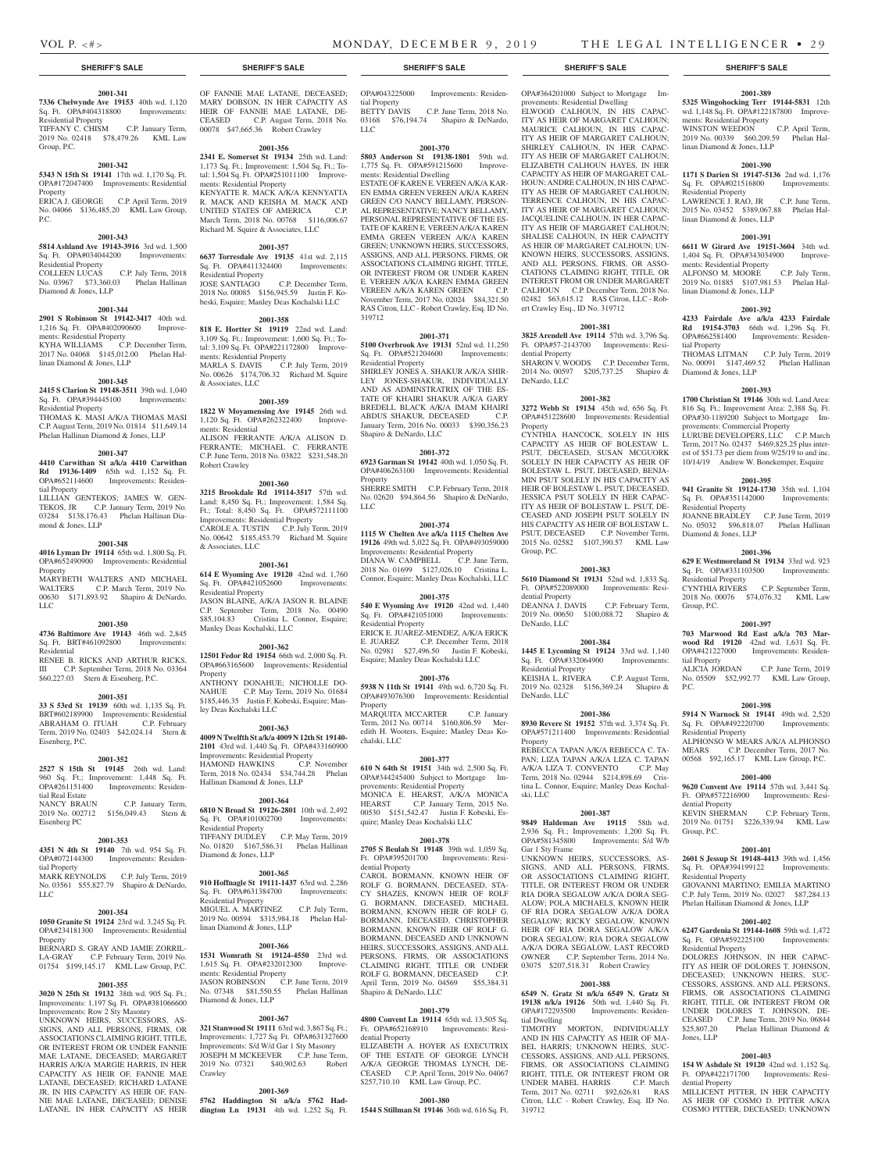**2001-389 5325 Wingohocking Terr 19144-5831** 12th wd. 1,148 Sq. Ft. OPA#122187800 Improvements: Residential Property<br>WINSTON WEEDON C.P. April Term.

2019 No. 00339 \$60,209.59 Phelan Hal-

**2001-390 1171 S Darien St 19147-5136** 2nd wd. 1,176 Sq. Ft. OPA#021516800 Improvements:

LAWRENCE J. RAO, JR C.P. June Term, 2015 No. 03452 \$389,067.88 Phelan Hal-

**2001-391 6611 W Girard Ave 19151-3604** 34th wd. 1,404 Sq. Ft. OPA#343034900 Improve-

ALFONSO M. MOORE C.P. July Term, 2019 No. 01885 \$107,981.53 Phelan Hal-

**2001-392 4233 Fairdale Ave a/k/a 4233 Fairdale Rd 19154-3703** 66th wd. 1,296 Sq. Ft. OPA#662581400 Improvements: Residen-

THOMAS LITMAN C.P. July Term, 2019 No. 00091 \$147,469.52 Phelan Hallinan

**2001-393 1700 Christian St 19146** 30th wd. Land Area: 816 Sq. Ft.; Improvement Area: 2,388 Sq. Ft. OPA#30-1189200 Subject to Mortgage Im-

LURUBE DEVELOPERS, LLC C.P. March Term, 2017 No. 02437 \$469,825.25 plus interest of \$51.73 per diem from 9/25/19 to and inc. 10/14/19 Andrew W. Bonekemper, Esquire **2001-395 941 Granite St 19124-1730** 35th wd. 1,104 Sq. Ft. OPA#351142000 Improvements:

JOANNE BRADLEY C.P. June Term, 2019 No. 05032 \$96,818.07 Phelan Hallinan

**2001-396 629 E Westmoreland St 19134** 33rd wd. 923 Sq. Ft. OPA#331103500 Improvements:

CYNTHIA RIVERS C.P. September Term, 2018 No. 00076 \$74,076.32 KML Law

**2001-397 703 Marwood Rd East a/k/a 703 Marwood Rd 19120** 42nd wd. 1,631 Sq. Ft. OPA#421227000 Improvements: Residen-

ALICIA JORDAN C.P. June Term, 2019 No. 05509 \$52,992.77 KML Law Group,

**2001-398 5914 N Warnock St 19141** 49th wd. 2,520 Sq. Ft. OPA#492220700 Improvements:

ALPHONSO W MEARS A/K/A ALPHONSO MEARS C.P. December Term, 2017 No. 00568 \$92,165.17 KML Law Group, P.C. **2001-400 9620 Convent Ave 19114** 57th wd. 3,441 Sq. Ft. OPA#572216900 Improvements: Resi-

KEVIN SHERMAN C.P. February Term, 2019 No. 01751 \$226,339.94 KML Law

**2001-401 2601 S Jessup St 19148-4413** 39th wd. 1,456 Sq. Ft. OPA#394199122 Improvements:

GIOVANNI MARTINO; EMILIA MARTINO C.P. July Term, 2019 No. 02027 \$87,284.13 Phelan Hallinan Diamond & Jones, LLP **2001-402 6247 Gardenia St 19144-1608** 59th wd. 1,472 Sq. Ft. OPA#592225100 Improvements:

DOLORES JOHNSON, IN HER CAPAC-ITY AS HEIR OF DOLORES T. JOHNSON, DECEASED: UNKNOWN HEIRS, SUC-

CESSORS, ASSIGNS, AND ALL PERSONS, FIRMS, OR ASSOCIATIONS CLAIMING RIGHT, TITLE, OR INTEREST FROM OR UNDER DOLORES T. JOHNSON, DE-CEASED C.P. June Term, 2019 No. 06844<br>\$25,807.20 Phelan Hallinan Diamond &

**2001-403 154 W Ashdale St 19120** 42nd wd. 1,152 Sq. Ft. OPA#422171700 Improvements: Resi-

MILLICENT PITTER, IN HER CAPACITY AS HEIR OF COSMO D. PITTER A/K/A COSMO PITTER, DECEASED; UNKNOWN

UNKNOWN HEIRS, SUC

Phelan Hallinan Diamond &

provements: Commercial Property

WINSTON WEEDON

Residential Property

linan Diamond & Jones, LLP

linan Diamond & Jones, LLP

ments: Residential Property

linan Diamond & Jones, LLP

tial Property

Diamond & Jones, LLP

Residential Property

Residential Property

Group, P.C.

tial Property

Residential Property

dential Property

Residential Property

Residential Property

Jones, LLP

dential Property

Group, P.C.

P.C.

Diamond & Jones, LLP

#### **SHERIFF'S SALE SHERIFF'S SALE SHERIFF'S SALE SHERIFF'S SALE SHERIFF'S SALE**

#### **2001-341 7336 Chelwynde Ave 19153** 40th wd. 1,120

Sq. Ft. OPA#404318800 Improvements: Residential Property TIFFANY C. CHISM C.P. January Term,

2019 No. 02418 \$78,479.26 KML Law Group, P.C.

#### **2001-342**

**5343 N 15th St 19141** 17th wd. 1,170 Sq. Ft. OPA#172047400 Improvements: Residential Property ERICA J. GEORGE C.P. April Term, 2019 No. 04066 \$136,485.20 KML Law Group,

## P.C.

#### **2001-343**

**5814 Ashland Ave 19143-3916** 3rd wd. 1,500 Sq. Ft. OPA#034044200 Improvements: Residential Property

COLLEEN LUCAS C.P. July Term, 2018 No. 03967 \$73,360.03 Phelan Hallinan Diamond & Jones, LLP

#### **2001-344**

**2901 S Robinson St 19142-3417** 40th wd. 1,216 Sq. Ft. OPA#402090600 Improvements: Residential Property KYHA WILLIAMS C.P. December Term, 2017 No. 04068 \$145,012.00 Phelan Hallinan Diamond & Jones, LLP

#### **2001-345**

**2415 S Clarion St 19148-3511** 39th wd. 1,040 Sq. Ft. OPA#394445100 Improvements: Residential Property

THOMAS K. MASI A/K/A THOMAS MASI C.P. August Term, 2019 No. 01814 \$11,649.14 Phelan Hallinan Diamond & Jones, LLP

#### **2001-347**

**4410 Carwithan St a/k/a 4410 Carwithan Rd 19136-1409** 65th wd. 1,152 Sq. Ft. OPA#652114600 Improvements: Residential Property

LILLIAN GENTEKOS; JAMES W. GEN-TEKOS, JR C.P. January Term, 2019 No. 03284 \$138,176.43 Phelan Hallinan Diamond & Jones, LLP

#### **2001-348**

**4016 Lyman Dr 19114** 65th wd. 1,800 Sq. Ft. OPA#652490900 Improvements: Residential Property

MARYBETH WALTERS AND MICHAEL WALTERS C.P. March Term, 2019 No. 00630 \$171,893.92 Shapiro & DeNardo, LLC

#### **2001-350**

#### **4736 Baltimore Ave 19143** 46th wd. 2,845 Sq. Ft. BRT#461092800 Improvements: Residential

RENEE B. RICKS AND ARTHUR RICKS, III C.P. September Term, 2018 No. 03364 \$60,227.03 Stern & Eisenberg, P.C.

#### **2001-351**

**33 S 53rd St 19139** 60th wd. 1,135 Sq. Ft. BRT#602189900 Improvements: Residential ABRAHAM O. ITUAH C.P. February Term, 2019 No. 02403 \$42,024.14 Stern & Eisenberg, P.C.

#### **2001-352**

**2527 S 15th St 19145** 26th wd. Land: 960 Sq. Ft.; Improvement: 1,448 Sq. Ft. Improvements: Residential Real Estate<br>NANCY BRAUN C.P. January Term,

2019 No. 002712 \$156,049.43 Stern & Eisenberg PC

#### **2001-353**

**4351 N 4th St 19140** 7th wd. 954 Sq. Ft. OPA#072144300 Improvements: Residential Property MARK REYNOLDS C.P. July Term, 2019

## No. 03561 \$55,827.79 Shapiro & DeNardo, LLC.

#### **2001-354**

**1050 Granite St 19124** 23rd wd. 3,245 Sq. Ft. OPA#234181300 Improvements: Residential Property

BERNARD S. GRAY AND JAMIE ZORRIL-LA-GRAY C.P. February Term, 2019 No. 01754 \$199,145.17 KML Law Group, P.C.

#### **2001-355**

#### **3020 N 25th St 19132** 38th wd. 905 Sq. Ft.; Improvements: 1,197 Sq. Ft. OPA#381066600 Improvements: Row 2 Sty Masonry UNKNOWN HEIRS, SUCCESSORS, AS-SIGNS, AND ALL PERSONS, FIRMS, OR ASSOCIATIONS CLAIMING RIGHT, TITLE, OR INTEREST FROM OR UNDER FANNIE MAE LATANE, DECEASED; MARGARET HARRIS A/K/A MARGIE HARRIS, IN HER CAPACITY AS HEIR OF, FANNIE MAE LATANE, DECEASED; RICHARD LATANE JR, IN HIS CAPACITY AS HEIR OF, FAN-NIE MAE LATANE, DECEASED; DENISE LATANE, IN HER CAPACITY AS HEIR

OF FANNIE MAE LATANE, DECEASED; MARY DOBSON, IN HER CAPACITY AS HEIR OF FANNIE MAE LATANE, DECEASED C.P. August Term, 2018 No. C.P. August Term, 2018 No. 00078 \$47,665.36 Robert Crawley

#### **2001-356**

**2341 E. Somerset St 19134** 25th wd. Land: 1,173 Sq. Ft.; Improvement: 1,504 Sq. Ft.; Total: 1,504 Sq. Ft. OPA#251011100 Improvements: Residential Property KENYATTE R. MACK A/K/A KENNYATTA R. MACK AND KEISHA M. MACK AND UNITED STATES OF AMERICA March Term, 2018 No. 00768 \$116,006.67 Richard M. Squire & Associates, LLC

#### **2001-357**

**6637 Torresdale Ave 19135** 41st wd. 2,115 Sq. Ft. OPA#411324400 Improvements: Residential Property<br>JOSE SANTIAGO C.P. December Term, 2018 No. 00085 \$156,945.59 Justin F. Kobeski, Esquire; Manley Deas Kochalski LLC

#### **2001-358**

**818 E. Hortter St 19119** 22nd wd. Land: 3,109 Sq. Ft.; Improvement: 1,600 Sq. Ft.; Total: 3,109 Sq. Ft. OPA#221172800 Improvements: Residential Property MARLA S. DAVIS C.P. July Term, 2019 No. 00626 \$174,706.32 Richard M. Squire & Associates, LLC

#### **2001-359**

**1822 W Moyamensing Ave 19145** 26th wd. 1,120 Sq. Ft. OPA#262322400 Improvements: Residential ALISON FERRANTE A/K/A ALISON D. FERRANTE; MICHAEL C. FERRANTE C.P. June Term, 2018 No. 03822 \$231,548.20

#### **2001-360**

Robert Crawley

**3215 Brookdale Rd 19114-3517** 57th wd. Land: 8,450 Sq. Ft.; Improvement: 1,584 Sq. Ft.; Total: 8,450 Sq. Ft. OPA#572111100 Improvements: Residential Property CAROLE A. TUSTIN C.P. July Term, 2019 No. 00642 \$185,453.79 Richard M. Squire & Associates, LLC

### **2001-361**

**614 E Wyoming Ave 19120** 42nd wd. 1,760 Sq. Ft. OPA#421052600 Improvements: Residential Property JASON BLAINE, A/K/A JASON R. BLAINE C.P. September Term, 2018 No. 00490 \$85,104.83 Cristina L. Connor, Esquire; Manley Deas Kochalski, LLC

#### **2001-362**

**12501 Fedor Rd 19154** 66th wd. 2,000 Sq. Ft. OPA#663165600 Improvements: Residential Property ANTHONY DONAHUE; NICHOLLE DO-

NAHUE C.P. May Term, 2019 No. 01684 \$185,446.35 Justin F. Kobeski, Esquire; Manley Deas Kochalski LLC

#### **2001-363**

**4009 N Twelfth St a/k/a 4009 N 12th St 19140- 2101** 43rd wd. 1,440 Sq. Ft. OPA#433160900 Improvements: Residential Property HAMOND HAWKINS C.P. November Term, 2018 No. 02434 \$34,744.28 Phelan Hallinan Diamond & Jones, LLP

#### **2001-364**

**6810 N Broad St 19126-2801** 10th wd. 2,492 Sq. Ft. OPA#101002700 Improvements: Residential Property TIFFANY DUDLEY C.P. May Term, 2019 No. 01820 \$167,586.31 Phelan Hallinan

## Diamond & Jones, LLP

**2001-365 910 Hoffnagle St 19111-1437** 63rd wd. 2,286

Sq. Ft. OPA#631384700 Improvements: Residential Property MIGUEL A. MARTINEZ C.P. July Term, 2019 No. 00594 \$315,984.18 Phelan Hallinan Diamond & Jones, LLP

#### **2001-366**

**1531 Womrath St 19124-4550** 23rd wd. 1.615 Sq. Ft. OPA#232012300 Improvements: Residential Property JASON ROBINSON C.P. June Term, 2019 No. 07348 \$81,550.55 Phelan Hallinan Diamond & Jones, LLP

#### **2001-367**

**321 Stanwood St 19111** 63rd wd. 3,867 Sq. Ft.; Improvements: 1,727 Sq. Ft. OPA#631327600 Improvements: S/d W/d Gar 1 Sty Masonry JOSEPH M MCKEEVER C.P. June Term, 2019 No. 07321 \$40,902.63 Robert Crawley

#### **2001-369**

**5762 Haddington St a/k/a 5762 Haddington Ln 19131** 4th wd. 1,252 Sq. Ft. OPA#043225000 Improvements: Residen-

tial Property C.P. June Term, 2018 No. 03168 \$76,194.74 Shapiro & DeNardo,  $LIC$ 

#### **2001-370**

**5803 Anderson St 19138-1801** 59th wd. 1,775 Sq. Ft. OPA#591215600 Improvements: Residential Dwelling ESTATE OF KAREN E. VEREEN A/K/A KAR-

EN EMMA GREEN VEREEN A/K/A KAREN GREEN C/O NANCY BELLAMY, PERSON-AL REPRESENTATIVE; NANCY BELLAMY, PERSONAL REPRESENTATIVE OF THE ES-TATE OF KAREN E. VEREEN A/K/A KAREN EMMA GREEN VEREEN A/K/A KAREN GREEN: UNKNOWN HEIRS, SUCCESSORS ASSIGNS, AND ALL PERSONS, FIRMS, OR ASSOCIATIONS CLAIMING RIGHT, TITLE, OR INTEREST FROM OR UNDER KAREN E. VEREEN A/K/A KAREN EMMA GREEN VEREEN A/K/A KAREN GREEN C.P. November Term, 2017 No. 02024 \$84,321.50 RAS Citron, LLC - Robert Crawley, Esq. ID No. 319712

#### **2001-371**

**5100 Overbrook Ave 19131** 52nd wd. 11,250 Sq. Ft. OPA#521204600 Improvements: Residential Property

SHIRLEY JONES A. SHAKUR A/K/A SHIR-LEY JONES-SHAKUR, INDIVIDUALLY AND AS ADMINSTRATRIX OF THE ES-TATE OF KHAIRI SHAKUR A/K/A GARY BREDELL BLACK A/K/A IMAM KHAIRI ABDUS SHAKUR, DECEASED C.P. January Term, 2016 No. 00033 \$390,356.23 Shapiro & DeNardo, LLC

#### **2001-372**

**6923 Garman St 19142** 40th wd. 1,050 Sq. Ft. OPA#406263100 Improvements: Residential Property

SHERRE SMITH C.P. February Term, 2018 No. 02620 \$94,864.56 Shapiro & DeNardo, LLC

#### **2001-374**

**1115 W Chelten Ave a/k/a 1115 Chelten Ave 19126** 49th wd. 5,022 Sq. Ft. OPA#493059000 Improvements: Residential Property DIANA W. CAMPBELL C.P. June Term,

2018 No. 01699 \$127,026.10 Cristina L. Connor, Esquire; Manley Deas Kochalski, LLC

#### **2001-375**

**540 E Wyoming Ave 19120** 42nd wd. 1,440 Sq. Ft. OPA#421051000 Improvements: Residential Property ERICK E. JUAREZ-MENDEZ, A/K/A ERICK E. JUAREZ C.P. December Term, 2018 No. 02981 \$27,496.50 Justin F. Kobeski, Esquire; Manley Deas Kochalski LLC

#### **2001-376**

chalski, LLC

**5938 N 11th St 19141** 49th wd. 6,720 Sq. Ft. OPA#493076300 Improvements: Residential Property

MARQUITA MCCARTER C.P. January Term, 2012 No. 00714 \$160,806.59 Mer-

edith H. Wooters, Esquire; Manley Deas Ko-**8930 Revere St 19152** 57th wd. 3,374 Sq. Ft. OPA#571211400 Improvements: Residential Property

ski, LLC

Gar 1 Sty Frame

tial Dwelling

319712

#### **2001-377**

**610 N 64th St 19151** 34th wd. 2,500 Sq. Ft. OPA#344245400 Subject to Mortgage Improvements: Residential Property MONICA E. HEARST, A/K/A MONICA HEARST C.P. January Term, 2015 No. 00530 \$151,542.47 Justin F. Kobeski, Esquire; Manley Deas Kochalski LLC

#### **2001-378**

**2705 S Beulah St 19148** 39th wd. 1,059 Sq. Ft. OPA#395201700 Improvements: Residential Property

CAROL BORMANN, KNOWN HEIR OF ROLF G. BORMANN, DECEASED, STA-CY SHAZES, KNOWN HEIR OF ROLF G. BORMANN, DECEASED, MICHAEL BORMANN, KNOWN HEIR OF ROLF G. BORMANN, DECEASED, CHRISTOPHER BORMANN, KNOWN HEIR OF ROLF G. BORMANN, DECEASED AND UNKNOWN HEIRS, SUCCESSORS, ASSIGNS, AND ALL PERSONS, FIRMS, OR ASSOCIATIONS CLAIMING RIGHT, TITLE OR UNDER ROLF G. BORMANN, DECEASED C.P.<br>April Term. 2019 No. 04569 \$55.384.31 April Term, 2019 No. 04569 Shapiro & DeNardo, LLC

#### **2001-379**

**4800 Convent Ln 19114** 65th wd. 13,505 Sq. Ft. OPA#652168910 Improvements: Residential Property

ELIZABETH A. HOYER AS EXECUTRIX OF THE ESTATE OF GEORGE LYNCH A/K/A GEORGE THOMAS LYNCH, DE-CEASED C.P. April Term, 2019 No. 04067 \$257,710.10 KML Law Group, P.C.

#### **2001-380**

**1544 S Stillman St 19146** 36th wd. 616 Sq. Ft.

## OPA#364201000 Subject to Mortgage Im-

ELWOOD CALHOUN, IN HIS CAPAC-ITY AS HEIR OF MARGARET CALHOUN; MAURICE CALHOUN, IN HIS CAPAC-ITY AS HEIR OF MARGARET CALHOUN; SHIRLEY CALHOUN, IN HER CAPAC-ITY AS HEIR OF MARGARET CALHOUN; ELIZABETH CALHOUN HAYES, IN HER CAPACITY AS HEIR OF MARGARET CAL-HOUN; ANDRE CALHOUN, IN HIS CAPAC-ITY AS HEIR OF MARGARET CALHOUN; TERRENCE CALHOUN, IN HIS CAPAC-ITY AS HEIR OF MARGARET CALHOUN; JACQUELINE CALHOUN, IN HER CAPAC-ITY AS HEIR OF MARGARET CALHOUN; SHALISE CALHOUN, IN HER CAPACITY AS HEIR OF MARGARET CALHOUN; UN-KNOWN HEIRS, SUCCESSORS, ASSIGNS, AND ALL PERSONS, FIRMS, OR ASSO-CIATIONS CLAIMING RIGHT, TITLE, OR INTEREST FROM OR UNDER MARGARET CALHOUN C.P. December Term, 2018 No. 02482 \$63,615.12 RAS Citron, LLC - Rob-

provements: Residential Dwelling

ert Crawley Esq., ID No. 319712

dential Property

DeNardo, LLC

Property

Group, P.C.

dential Property

DeNardo, LLC

DeNardo, LLC

Residential Property<br>KEISHA L. RIVERA

**2001-381 3825 Arendell Ave 19114** 57th wd. 3,796 Sq. Ft. OPA#57-2143700 Improvements: Resi-

SHARON V. WOODS C.P. December Term, 2014 No. 00597 \$205,737.25 Shapiro &

**2001-382 3272 Webb St 19134** 45th wd. 656 Sq. Ft. OPA#451228600 Improvements: Residential

CYNTHIA HANCOCK, SOLELY IN HIS CAPACITY AS HEIR OF BOLESTAW L. PSUT, DECEASED, SUSAN MCGUORK SOLELY IN HER CAPACITY AS HEIR OF BOLESTAW L. PSUT, DECEASED, BENJA-MIN PSUT SOLELY IN HIS CAPACITY AS HEIR OF BOLESTAW L. PSUT, DECEASED, JESSICA PSUT SOLELY IN HER CAPAC-ITY AS HEIR OF BOLESTAW L. PSUT, DE-CEASED AND JOSEPH PSUT SOLELY IN HIS CAPACITY AS HEIR OF BOLESTAW L. PSUT, DECEASED C.P. November Term, 2015 No. 02582 \$107,390.57 KML Law

**2001-383 5610 Diamond St 19131** 52nd wd. 1,833 Sq. Ft. OPA#522089000 Improvements: Resi-

DEANNA J. DAVIS C.P. February Term, 2019 No. 00650 \$100,088.72 Shapiro &

**2001-384 1445 E Lycoming St 19124** 33rd wd. 1,140 Sq. Ft. OPA#332064900 Improvements:

2019 No. 02328 \$156,369.24 Shapiro &

**2001-386**

REBECCA TAPAN A/K/A REBECCA C. TA-PAN; LIZA TAPAN A/K/A LIZA C. TAPAN A/K/A LIZA T. CONVENTO C.P. May A/K/A LIZA T. CONVENTO Term, 2018 No. 02944 \$214,898.69 Cristina L. Connor, Esquire; Manley Deas Kochal-

**2001-387 9849 Haldeman Ave 19115** 58th wd. 2,936 Sq. Ft.; Improvements: 1,200 Sq. Ft. OPA#581345800 Improvements: S/d W/b

UNKNOWN HEIRS, SUCCESSORS, AS-SIGNS, AND ALL PERSONS, FIRMS, OR ASSOCIATIONS CLAIMING RIGHT, TITLE, OR INTEREST FROM OR UNDER RIA DORA SEGALOW A/K/A DORA SEG-ALOW; POLA MICHAELS, KNOWN HEIR OF RIA DORA SEGALOW A/K/A DORA SEGALOW; RICKY SEGALOW, KNOWN HEIR OF RIA DORA SEGALOW A/K/A DORA SEGALOW; RIA DORA SEGALOW A/K/A DORA SEGALOW, LAST RECORD OWNER C.P. September Term, 2014 No. 03075 \$207,518.31 Robert Crawley **2001-388 6549 N. Gratz St n/k/a 6549 N. Gratz St 19138 n/k/a 19126** 50th wd. 1,440 Sq. Ft. OPA#172293500 Improvements: Residen-

TIMOTHY MORTON, INDIVIDUALLY AND IN HIS CAPACITY AS HEIR OF MA-BEL HARRIS; UNKNOWN HEIRS, SUC-CESSORS, ASSIGNS, AND ALL PERSONS, FIRMS, OR ASSOCIATIONS CLAIMING RIGHT, TITLE, OR INTEREST FROM OR UNDER MABEL HARRIS C.P. March Term, 2017 No. 02711 \$92,626.81 RAS Citron, LLC - Robert Crawley, Esq. ID No.

C.P. August Term,